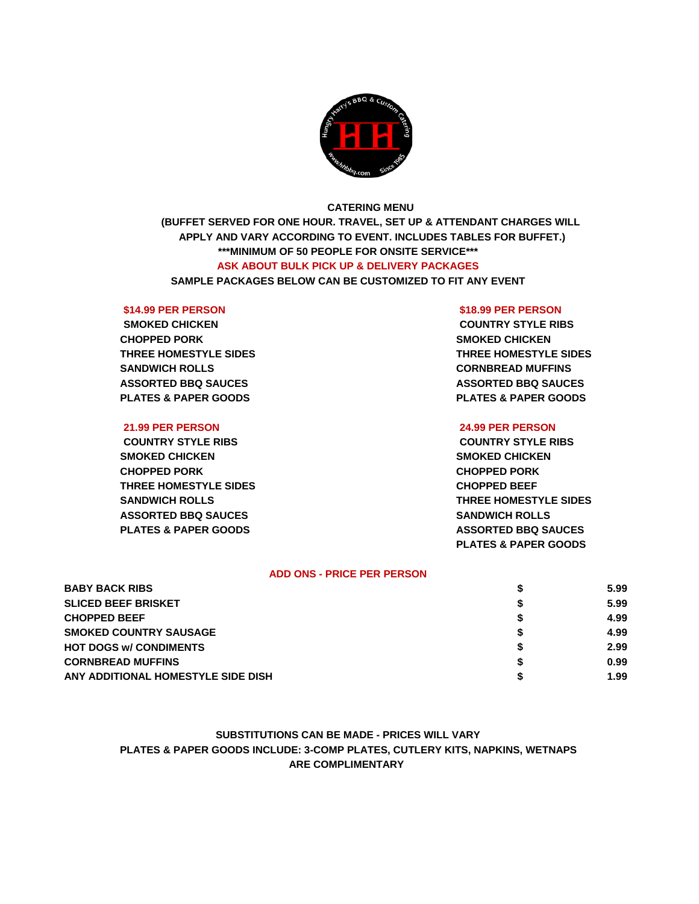

# **CATERING MENU**

**(BUFFET SERVED FOR ONE HOUR. TRAVEL, SET UP & ATTENDANT CHARGES WILL APPLY AND VARY ACCORDING TO EVENT. INCLUDES TABLES FOR BUFFET.) \*\*\*MINIMUM OF 50 PEOPLE FOR ONSITE SERVICE\*\*\* ASK ABOUT BULK PICK UP & DELIVERY PACKAGES**

**SAMPLE PACKAGES BELOW CAN BE CUSTOMIZED TO FIT ANY EVENT**

**CHOPPED PORK SMOKED CHICKEN SANDWICH ROLLS CORNBREAD MUFFINS ASSORTED BBQ SAUCES ASSORTED BBQ SAUCES PLATES & PAPER GOODS PLATES & PAPER GOODS**

## **21.99 PER PERSON 24.99 PER PERSON**

**COUNTRY STYLE RIBS COUNTRY STYLE RIBS SMOKED CHICKEN SMOKED CHICKEN CHOPPED PORK CHOPPED PORK THREE HOMESTYLE SIDES CHOPPED BEEF ASSORTED BBQ SAUCES SANDWICH ROLLS PLATES & PAPER GOODS ASSORTED BBQ SAUCES** 

## **\$14.99 PER PERSON \$18.99 PER PERSON**

**SMOKED CHICKEN COUNTRY STYLE RIBS THREE HOMESTYLE SIDES THREE HOMESTYLE SIDES**

**SANDWICH ROLLS THREE HOMESTYLE SIDES PLATES & PAPER GOODS**

## **ADD ONS - PRICE PER PERSON**

| <b>BABY BACK RIBS</b>              |   | 5.99 |
|------------------------------------|---|------|
| <b>SLICED BEEF BRISKET</b>         |   | 5.99 |
| <b>CHOPPED BEEF</b>                | S | 4.99 |
| <b>SMOKED COUNTRY SAUSAGE</b>      |   | 4.99 |
| <b>HOT DOGS W/ CONDIMENTS</b>      |   | 2.99 |
| <b>CORNBREAD MUFFINS</b>           |   | 0.99 |
| ANY ADDITIONAL HOMESTYLE SIDE DISH |   | 1.99 |

# **PLATES & PAPER GOODS INCLUDE: 3-COMP PLATES, CUTLERY KITS, NAPKINS, WETNAPS ARE COMPLIMENTARY SUBSTITUTIONS CAN BE MADE - PRICES WILL VARY**